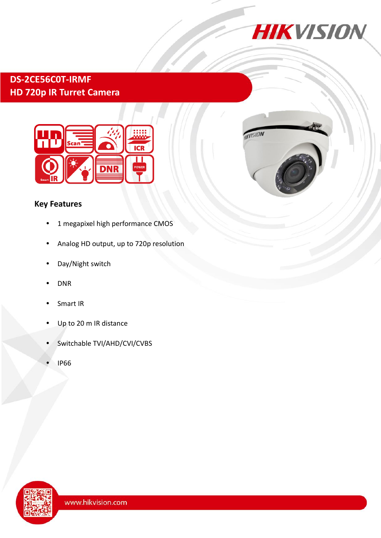

# **DS-2CE56C0T-IRMF HD 720p IR Turret Camera**





- 1 megapixel high performance CMOS
- Analog HD output, up to 720p resolution
- Day/Night switch
- DNR
- Smart IR
- Up to 20 m IR distance
- Switchable TVI/AHD/CVI/CVBS
- IP66



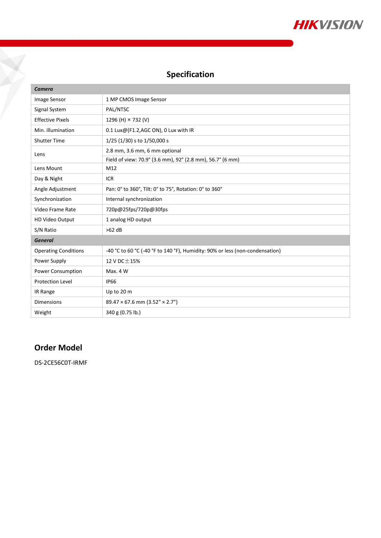

## **Specification**

| Camera                      |                                                                              |
|-----------------------------|------------------------------------------------------------------------------|
| Image Sensor                | 1 MP CMOS Image Sensor                                                       |
| Signal System               | PAL/NTSC                                                                     |
| <b>Effective Pixels</b>     | 1296 (H) × 732 (V)                                                           |
| Min. illumination           | 0.1 Lux@(F1.2,AGC ON), 0 Lux with IR                                         |
| <b>Shutter Time</b>         | 1/25 (1/30) s to 1/50,000 s                                                  |
| Lens                        | 2.8 mm, 3.6 mm, 6 mm optional                                                |
|                             | Field of view: 70.9° (3.6 mm), 92° (2.8 mm), 56.7° (6 mm)                    |
| Lens Mount                  | M12                                                                          |
| Day & Night                 | <b>ICR</b>                                                                   |
| Angle Adjustment            | Pan: 0° to 360°, Tilt: 0° to 75°, Rotation: 0° to 360°                       |
| Synchronization             | Internal synchronization                                                     |
| Video Frame Rate            | 720p@25fps/720p@30fps                                                        |
| HD Video Output             | 1 analog HD output                                                           |
| S/N Ratio                   | $>62$ dB                                                                     |
| <b>General</b>              |                                                                              |
| <b>Operating Conditions</b> | -40 °C to 60 °C (-40 °F to 140 °F), Humidity: 90% or less (non-condensation) |
| Power Supply                | 12 V DC $\pm$ 15%                                                            |
| Power Consumption           | Max. 4 W                                                                     |
| <b>Protection Level</b>     | <b>IP66</b>                                                                  |
| IR Range                    | Up to 20 m                                                                   |
| <b>Dimensions</b>           | $89.47 \times 67.6$ mm $(3.52" \times 2.7")$                                 |
| Weight                      | 340 g (0.75 lb.)                                                             |

## **Order Model**

J.

DS-2CE56C0T-IRMF